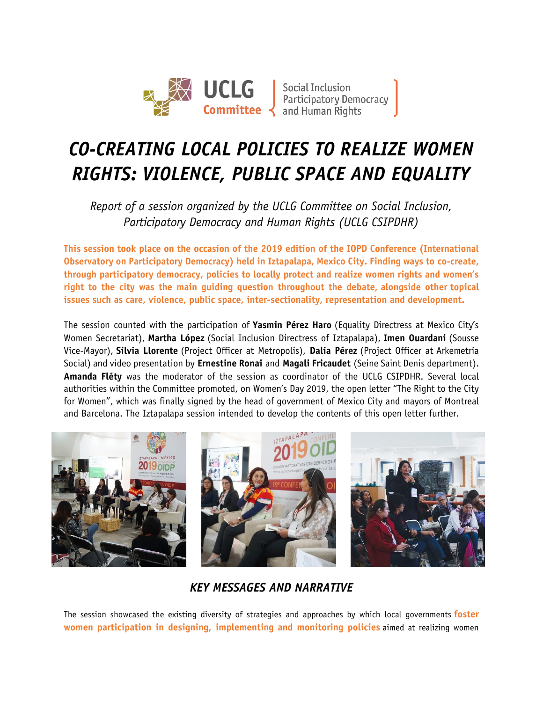

## *CO-CREATING LOCAL POLICIES TO REALIZE WOMEN RIGHTS: VIOLENCE, PUBLIC SPACE AND EQUALITY*

*Report of a session organized by the UCLG Committee on Social Inclusion, Participatory Democracy and Human Rights (UCLG CSIPDHR)*

**This session took place on the occasion of the 2019 edition of the IOPD Conference (International Observatory on Participatory Democracy) held in Iztapalapa, Mexico City. Finding ways to co-create, through participatory democracy, policies to locally protect and realize women rights and women's right to the city was the main guiding question throughout the debate, alongside other topical issues such as care, violence, public space, inter-sectionality, representation and development.**

The session counted with the participation of **Yasmin Pérez Haro** (Equality Directress at Mexico City's Women Secretariat), **Martha López** (Social Inclusion Directress of Iztapalapa), **Imen Ouardani** (Sousse Vice-Mayor), **Silvia Llorente** (Project Officer at Metropolis), **Dalia Pérez** (Project Officer at Arkemetría Social) and video presentation by **Ernestine Ronai** and **Magali Fricaudet** (Seine Saint Denis department). **Amanda Fléty** was the moderator of the session as coordinator of the UCLG CSIPDHR. Several local authorities within the Committee promoted, on Women's Day 2019, the open letter "The Right to the City for Women", which was finally signed by the head of government of Mexico City and mayors of Montreal and Barcelona. The Iztapalapa session intended to develop the contents of this open letter further.



*KEY MESSAGES AND NARRATIVE*

The session showcased the existing diversity of strategies and approaches by which local governments **foster women participation in designing, implementing and monitoring policies** aimed at realizing women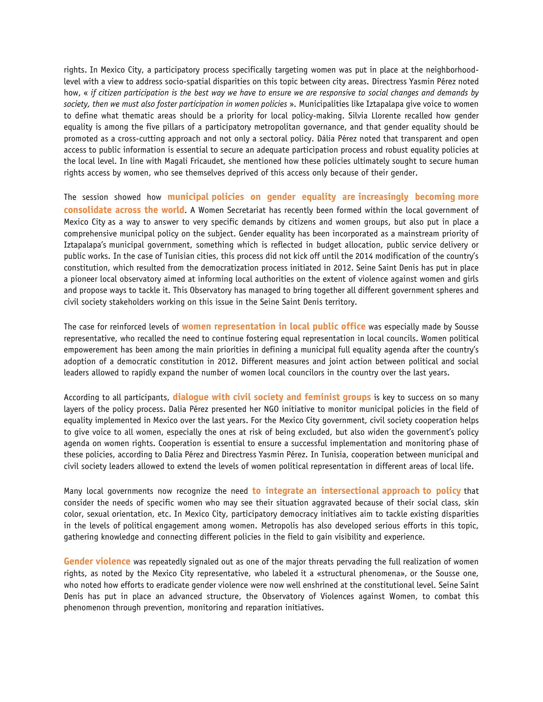rights. In Mexico City, a participatory process specifically targeting women was put in place at the neighborhoodlevel with a view to address socio-spatial disparities on this topic between city areas. Directress Yasmin Pérez noted how, « *if citizen participation is the best way we have to ensure we are responsive to social changes and demands by society, then we must also foster participation in women policies* ». Municipalities like Iztapalapa give voice to women to define what thematic areas should be a priority for local policy-making. Silvia Llorente recalled how gender equality is among the five pillars of a participatory metropolitan governance, and that gender equality should be promoted as a cross-cutting approach and not only a sectoral policy. Dália Pérez noted that transparent and open access to public information is essential to secure an adequate participation process and robust equality policies at the local level. In line with Magali Fricaudet, she mentioned how these policies ultimately sought to secure human rights access by women, who see themselves deprived of this access only because of their gender.

The session showed how **municipal policies on gender equality are increasingly becoming more consolidate across the world**. A Women Secretariat has recently been formed within the local government of Mexico City as a way to answer to very specific demands by citizens and women groups, but also put in place a comprehensive municipal policy on the subject. Gender equality has been incorporated as a mainstream priority of Iztapalapa's municipal government, something which is reflected in budget allocation, public service delivery or public works. In the case of Tunisian cities, this process did not kick off until the 2014 modification of the country's constitution, which resulted from the democratization process initiated in 2012. Seine Saint Denis has put in place a pioneer local observatory aimed at informing local authorities on the extent of violence against women and girls and propose ways to tackle it. This Observatory has managed to bring together all different government spheres and civil society stakeholders working on this issue in the Seine Saint Denis territory.

The case for reinforced levels of **women representation in local public office** was especially made by Sousse representative, who recalled the need to continue fostering equal representation in local councils. Women political empowerement has been among the main priorities in defining a municipal full equality agenda after the country's adoption of a democratic constitution in 2012. Different measures and joint action between political and social leaders allowed to rapidly expand the number of women local councilors in the country over the last years.

According to all participants, **dialogue with civil society and feminist groups** is key to success on so many layers of the policy process. Dalia Pérez presented her NGO initiative to monitor municipal policies in the field of equality implemented in Mexico over the last years. For the Mexico City government, civil society cooperation helps to give voice to all women, especially the ones at risk of being excluded, but also widen the government's policy agenda on women rights. Cooperation is essential to ensure a successful implementation and monitoring phase of these policies, according to Dalia Pérez and Directress Yasmin Pérez. In Tunisia, cooperation between municipal and civil society leaders allowed to extend the levels of women political representation in different areas of local life.

Many local governments now recognize the need **to integrate an intersectional approach to policy** that consider the needs of specific women who may see their situation aggravated because of their social class, skin color, sexual orientation, etc. In Mexico City, participatory democracy initiatives aim to tackle existing disparities in the levels of political engagement among women. Metropolis has also developed serious efforts in this topic, gathering knowledge and connecting different policies in the field to gain visibility and experience.

**Gender violence** was repeatedly signaled out as one of the major threats pervading the full realization of women rights, as noted by the Mexico City representative, who labeled it a «structural phenomena», or the Sousse one, who noted how efforts to eradicate gender violence were now well enshrined at the constitutional level. Seine Saint Denis has put in place an advanced structure, the Observatory of Violences against Women, to combat this phenomenon through prevention, monitoring and reparation initiatives.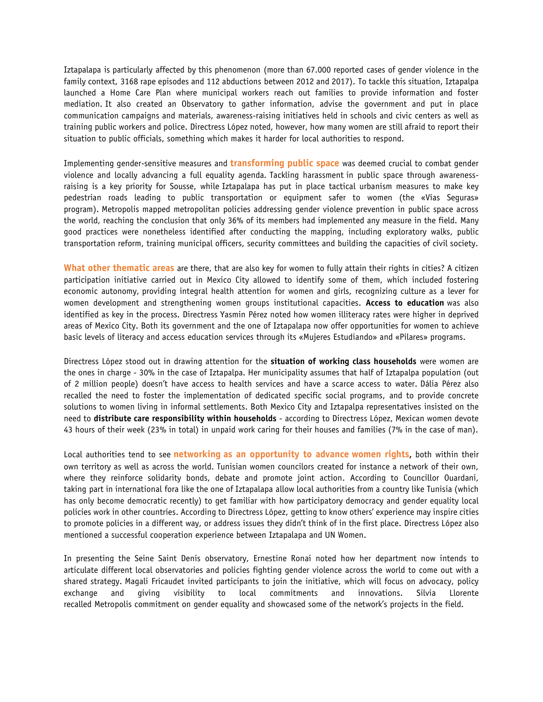Iztapalapa is particularly affected by this phenomenon (more than 67.000 reported cases of gender violence in the family context, 3168 rape episodes and 112 abductions between 2012 and 2017). To tackle this situation, Iztapalpa launched a Home Care Plan where municipal workers reach out families to provide information and foster mediation. It also created an Observatory to gather information, advise the government and put in place communication campaigns and materials, awareness-raising initiatives held in schools and civic centers as well as training public workers and police. Directress López noted, however, how many women are still afraid to report their situation to public officials, something which makes it harder for local authorities to respond.

Implementing gender-sensitive measures and **transforming public space** was deemed crucial to combat gender violence and locally advancing a full equality agenda. Tackling harassment in public space through awarenessraising is a key priority for Sousse, while Iztapalapa has put in place tactical urbanism measures to make key pedestrian roads leading to public transportation or equipment safer to women (the «Vías Seguras» program). Metropolis mapped metropolitan policies addressing gender violence prevention in public space across the world, reaching the conclusion that only 36% of its members had implemented any measure in the field. Many good practices were nonetheless identified after conducting the mapping, including exploratory walks, public transportation reform, training municipal officers, security committees and building the capacities of civil society.

**What other thematic areas** are there, that are also key for women to fully attain their rights in cities? A citizen participation initiative carried out in Mexico City allowed to identify some of them, which included fostering economic autonomy, providing integral health attention for women and girls, recognizing culture as a lever for women development and strengthening women groups institutional capacities. **Access to education** was also identified as key in the process. Directress Yasmin Pérez noted how women illiteracy rates were higher in deprived areas of Mexico City. Both its government and the one of Iztapalapa now offer opportunities for women to achieve basic levels of literacy and access education services through its «Mujeres Estudiando» and «Pilares» programs.

Directress López stood out in drawing attention for the **situation of working class households** were women are the ones in charge - 30% in the case of Iztapalpa. Her municipality assumes that half of Iztapalpa population (out of 2 million people) doesn't have access to health services and have a scarce access to water. Dália Pérez also recalled the need to foster the implementation of dedicated specific social programs, and to provide concrete solutions to women living in informal settlements. Both Mexico City and Iztapalpa representatives insisted on the need to **distribute care responsibility within households** - according to Directress López, Mexican women devote 43 hours of their week (23% in total) in unpaid work caring for their houses and families (7% in the case of man).

Local authorities tend to see **networking as an opportunity to advance women rights,** both within their own territory as well as across the world. Tunisian women councilors created for instance a network of their own, where they reinforce solidarity bonds, debate and promote joint action. According to Councillor Ouardani, taking part in international fora like the one of Iztapalapa allow local authorities from a country like Tunisia (which has only become democratic recently) to get familiar with how participatory democracy and gender equality local policies work in other countries. According to Directress López, getting to know others' experience may inspire cities to promote policies in a different way, or address issues they didn't think of in the first place. Directress López also mentioned a successful cooperation experience between Iztapalapa and UN Women.

In presenting the Seine Saint Denis observatory, Ernestine Ronai noted how her department now intends to articulate different local observatories and policies fighting gender violence across the world to come out with a shared strategy. Magali Fricaudet invited participants to join the initiative, which will focus on advocacy, policy exchange and giving visibility to local commitments and innovations. Silvia Llorente recalled Metropolis commitment on gender equality and showcased some of the network's projects in the field.